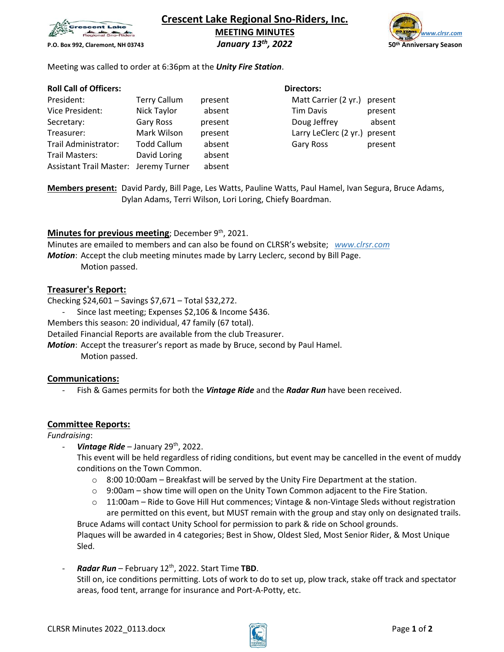

**Crescent Lake Regional Sno-Riders, Inc. MEETING MINUTES** *www.clrsr.com* **P.O. Box 992, Claremont, NH 03743** *January 13th*

*, 2022* **50th Anniversary Season**

Meeting was called to order at 6:36pm at the *Unity Fire Station*.

## **Roll Call of Officers: Directors: Directors: Directors: Directors:**

| President:                            | <b>Terry Callum</b> | present | Matt Carrier (2 yr.) present  |         |
|---------------------------------------|---------------------|---------|-------------------------------|---------|
| Vice President:                       | Nick Taylor         | absent  | Tim Davis                     | present |
| Secretary:                            | Gary Ross           | present | Doug Jeffrey                  | absent  |
| Treasurer:                            | Mark Wilson         | present | Larry LeClerc (2 yr.) present |         |
| Trail Administrator:                  | <b>Todd Callum</b>  | absent  | Gary Ross                     | present |
| Trail Masters:                        | David Loring        | absent  |                               |         |
| Assistant Trail Master: Jeremy Turner |                     | absent  |                               |         |

**Members present:** David Pardy, Bill Page, Les Watts, Pauline Watts, Paul Hamel, Ivan Segura, Bruce Adams, Dylan Adams, Terri Wilson, Lori Loring, Chiefy Boardman.

# Minutes for previous meeting; December 9<sup>th</sup>, 2021.

Minutes are emailed to members and can also be found on CLRSR's website; *www.clrsr.com Motion*: Accept the club meeting minutes made by Larry Leclerc, second by Bill Page. Motion passed.

# **Treasurer's Report:**

Checking \$24,601 – Savings \$7,671 – Total \$32,272.

Since last meeting; Expenses \$2,106 & Income \$436.

Members this season: 20 individual, 47 family (67 total).

Detailed Financial Reports are available from the club Treasurer.

*Motion*: Accept the treasurer's report as made by Bruce, second by Paul Hamel.

Motion passed.

# **Communications:**

- Fish & Games permits for both the *Vintage Ride* and the *Radar Run* have been received.

# **Committee Reports:**

# *Fundraising*:

Vintage Ride – January 29<sup>th</sup>, 2022.

This event will be held regardless of riding conditions, but event may be cancelled in the event of muddy conditions on the Town Common.

- $\circ$  8:00 10:00am Breakfast will be served by the Unity Fire Department at the station.
- $\circ$  9:00am show time will open on the Unity Town Common adjacent to the Fire Station.
- $\circ$  11:00am Ride to Gove Hill Hut commences; Vintage & non-Vintage Sleds without registration are permitted on this event, but MUST remain with the group and stay only on designated trails. Bruce Adams will contact Unity School for permission to park & ride on School grounds.

Plaques will be awarded in 4 categories; Best in Show, Oldest Sled, Most Senior Rider, & Most Unique Sled.

- *Radar Run* – February 12th, 2022. Start Time **TBD**. Still on, ice conditions permitting. Lots of work to do to set up, plow track, stake off track and spectator areas, food tent, arrange for insurance and Port-A-Potty, etc.